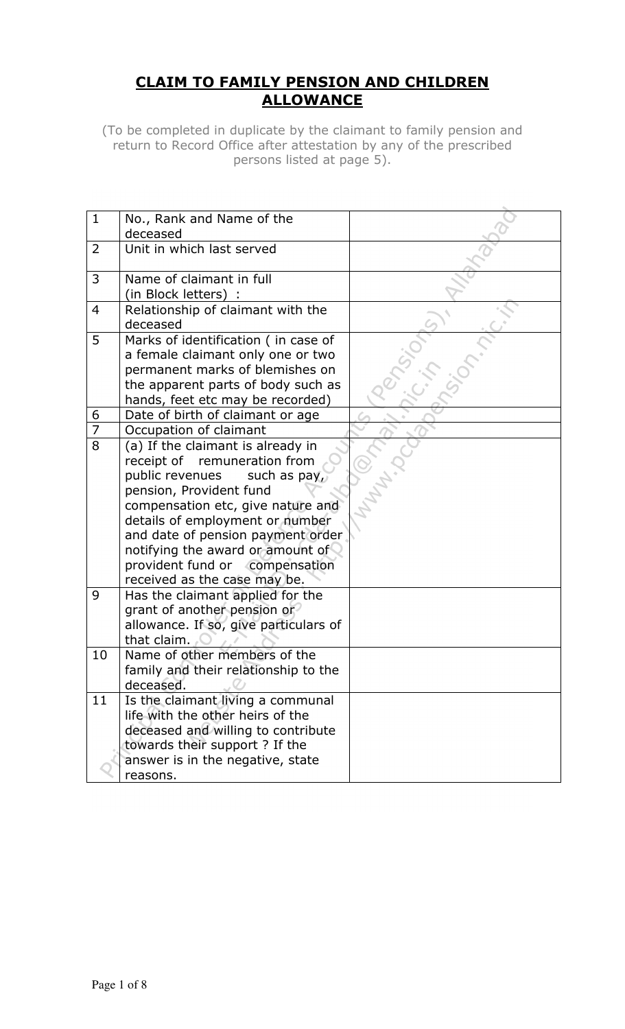# CLAIM TO FAMILY PENSION AND CHILDREN **ALLOWANCE**

(To be completed in duplicate by the claimant to family pension and return to Record Office after attestation by any of the prescribed persons listed at page 5).

| $\mathbf{1}$   | No., Rank and Name of the             |  |
|----------------|---------------------------------------|--|
|                | deceased                              |  |
| $\overline{2}$ | Unit in which last served             |  |
|                |                                       |  |
| 3              | Name of claimant in full              |  |
|                | (in Block letters) :                  |  |
| $\overline{4}$ | Relationship of claimant with the     |  |
|                | deceased                              |  |
| 5              | Marks of identification ( in case of  |  |
|                | a female claimant only one or two     |  |
|                | permanent marks of blemishes on       |  |
|                | the apparent parts of body such as    |  |
|                | hands, feet etc may be recorded)      |  |
| 6              | Date of birth of claimant or age      |  |
| $\overline{7}$ | Occupation of claimant                |  |
| 8              | (a) If the claimant is already in     |  |
|                | remuneration from<br>receipt of       |  |
|                | public revenues<br>such as pay,       |  |
|                | pension, Provident fund               |  |
|                | compensation etc, give nature and     |  |
|                | details of employment or number       |  |
|                | and date of pension payment order     |  |
|                |                                       |  |
|                | notifying the award or amount of      |  |
|                | provident fund or compensation        |  |
|                | received as the case may be.          |  |
| 9              | Has the claimant applied for the      |  |
|                | grant of another pension or           |  |
|                | allowance. If so, give particulars of |  |
|                | that claim.                           |  |
| 10             | Name of other members of the          |  |
|                | family and their relationship to the  |  |
|                | deceased.                             |  |
| 11             | Is the claimant living a communal     |  |
|                | life with the other heirs of the      |  |
|                | deceased and willing to contribute    |  |
|                | towards their support ? If the        |  |
|                | answer is in the negative, state      |  |
|                | reasons.                              |  |
|                |                                       |  |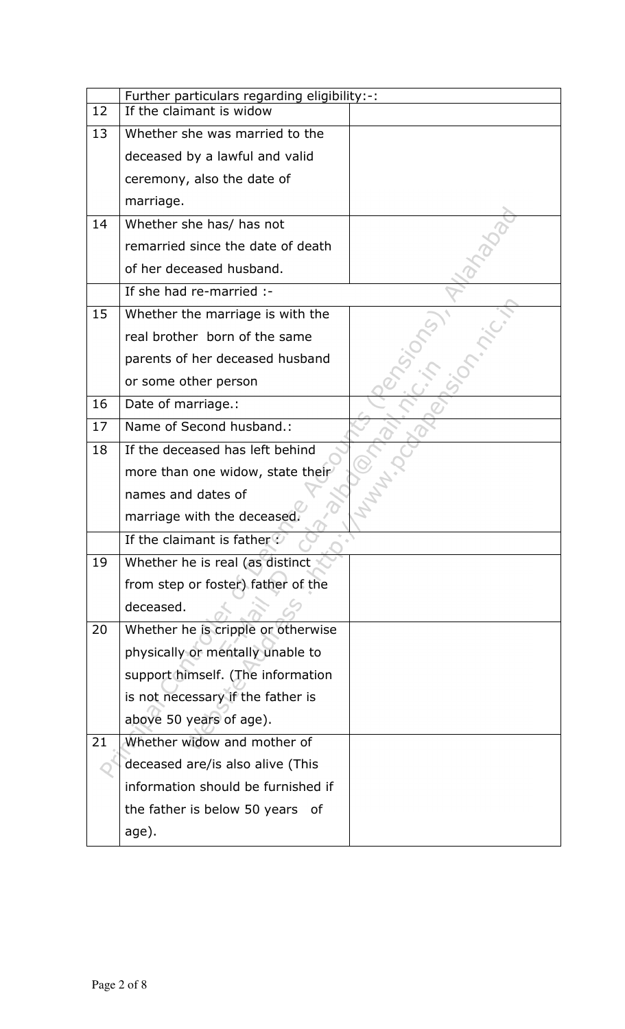|    | Further particulars regarding eligibility:-: |  |  |  |  |  |
|----|----------------------------------------------|--|--|--|--|--|
| 12 | If the claimant is widow                     |  |  |  |  |  |
| 13 | Whether she was married to the               |  |  |  |  |  |
|    | deceased by a lawful and valid               |  |  |  |  |  |
|    | ceremony, also the date of                   |  |  |  |  |  |
|    | marriage.                                    |  |  |  |  |  |
| 14 | Whether she has/ has not                     |  |  |  |  |  |
|    | remarried since the date of death            |  |  |  |  |  |
|    | of her deceased husband.                     |  |  |  |  |  |
|    | If she had re-married :-                     |  |  |  |  |  |
| 15 | Whether the marriage is with the             |  |  |  |  |  |
|    | real brother born of the same                |  |  |  |  |  |
|    | parents of her deceased husband              |  |  |  |  |  |
|    | or some other person                         |  |  |  |  |  |
| 16 | Date of marriage.:                           |  |  |  |  |  |
| 17 | Name of Second husband.:                     |  |  |  |  |  |
| 18 | If the deceased has left behind              |  |  |  |  |  |
|    | more than one widow, state their             |  |  |  |  |  |
|    | names and dates of                           |  |  |  |  |  |
|    | marriage with the deceased.                  |  |  |  |  |  |
|    | If the claimant is father?                   |  |  |  |  |  |
| 19 | Whether he is real (as distinct              |  |  |  |  |  |
|    | from step or foster) father of the           |  |  |  |  |  |
|    | deceased.                                    |  |  |  |  |  |
| 20 | Whether he is cripple or otherwise           |  |  |  |  |  |
|    | physically or mentally unable to             |  |  |  |  |  |
|    | support himself. (The information            |  |  |  |  |  |
|    | is not necessary if the father is            |  |  |  |  |  |
|    | above 50 years of age).                      |  |  |  |  |  |
| 21 | Whether widow and mother of                  |  |  |  |  |  |
|    | deceased are/is also alive (This             |  |  |  |  |  |
|    | information should be furnished if           |  |  |  |  |  |
|    | the father is below 50 years<br>οf           |  |  |  |  |  |
|    | age).                                        |  |  |  |  |  |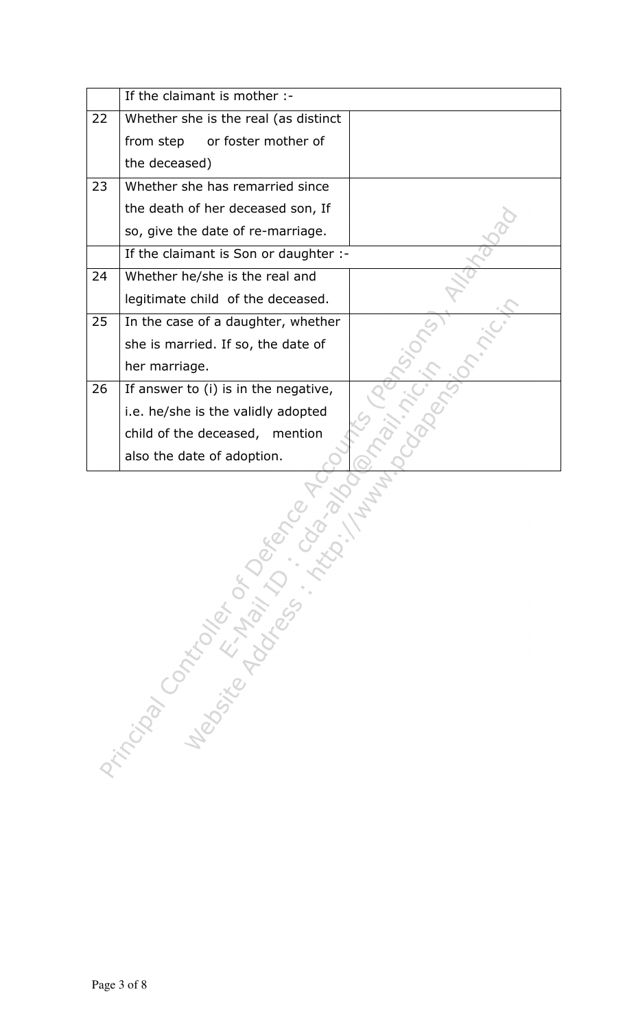|    | If the claimant is mother :-          |  |
|----|---------------------------------------|--|
| 22 | Whether she is the real (as distinct  |  |
|    | or foster mother of<br>from step      |  |
|    | the deceased)                         |  |
| 23 | Whether she has remarried since       |  |
|    | the death of her deceased son, If     |  |
|    | so, give the date of re-marriage.     |  |
|    | If the claimant is Son or daughter :- |  |
| 24 | Whether he/she is the real and        |  |
|    | legitimate child of the deceased.     |  |
| 25 | In the case of a daughter, whether    |  |
|    | she is married. If so, the date of    |  |
|    | her marriage.                         |  |
| 26 | If answer to (i) is in the negative,  |  |
|    | i.e. he/she is the validly adopted    |  |
|    | child of the deceased, mention        |  |
|    | also the date of adoption.            |  |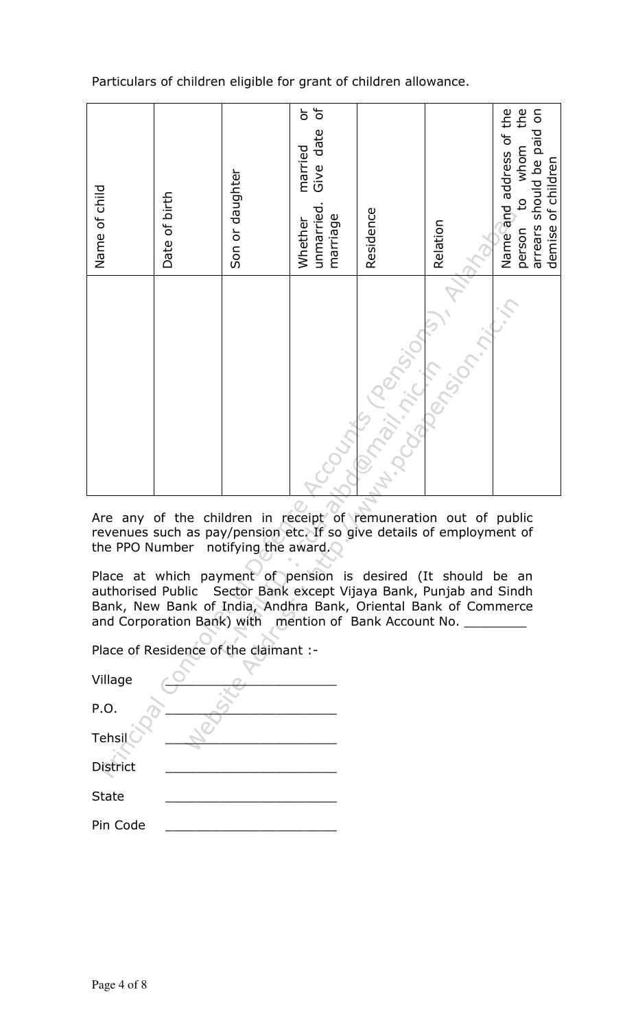Particulars of children eligible for grant of children allowance.



Are any of the children in receipt of remuneration out of public revenues such as pay/pension etc. If so give details of employment of the PPO Number notifying the award.

Place at which payment of pension is desired (It should be an authorised Public Sector Bank except Vijaya Bank, Punjab and Sindh Bank, New Bank of India, Andhra Bank, Oriental Bank of Commerce and Corporation Bank) with mention of Bank Account No. \_\_\_\_\_\_\_\_\_

Place of Residence of the claimant :-

| Village         |
|-----------------|
| P.O.            |
| Tehsil          |
| <b>District</b> |
| <b>State</b>    |
| Pin Code        |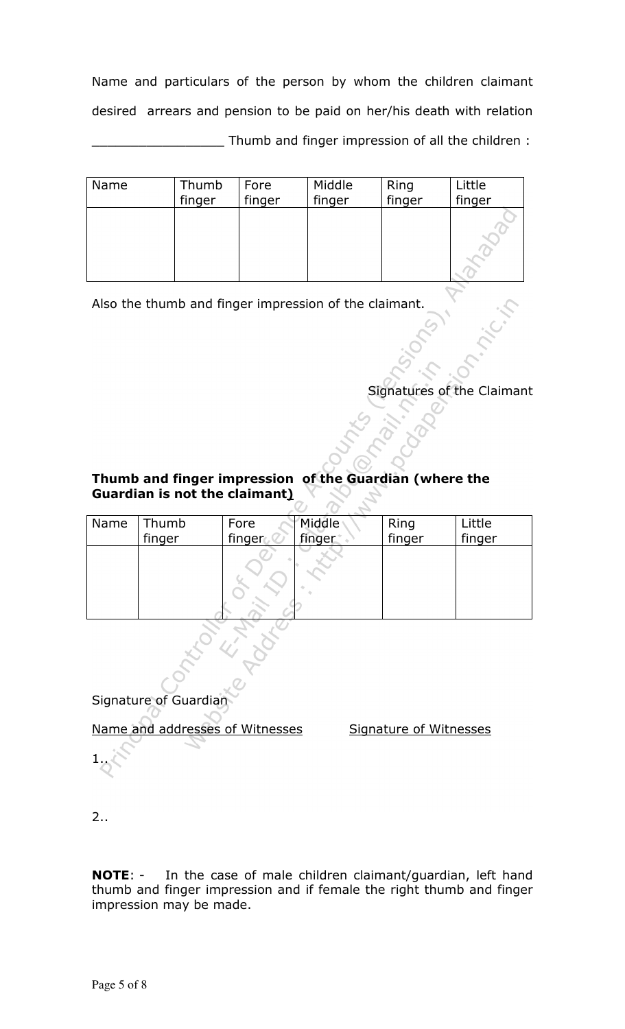Name and particulars of the person by whom the children claimant desired arrears and pension to be paid on her/his death with relation \_\_\_\_\_\_\_\_\_\_\_\_\_\_\_\_\_ Thumb and finger impression of all the children :

| Name | Thumb<br>finger | Fore<br>finger | Middle<br>finger | Ring<br>finger | Little<br>finger |
|------|-----------------|----------------|------------------|----------------|------------------|
|      |                 |                |                  |                |                  |

Also the thumb and finger impression of the claimant.

Signatures of the Claimant

### Thumb and finger impression of the Guardian (where the Guardian is not the claimant)

| Name | Thumb  | Fore   | Middle | Ring<br>finger | Little |
|------|--------|--------|--------|----------------|--------|
|      | finger | finger | finger |                | finger |
|      |        |        |        |                |        |
|      |        |        |        |                |        |
|      |        |        |        |                |        |
|      |        |        |        |                |        |
|      |        |        |        |                |        |
|      |        |        |        |                |        |

Signature of Guardian

Name and addresses of Witnesses Signature of Witnesses

2..

1..

NOTE: - In the case of male children claimant/guardian, left hand thumb and finger impression and if female the right thumb and finger impression may be made.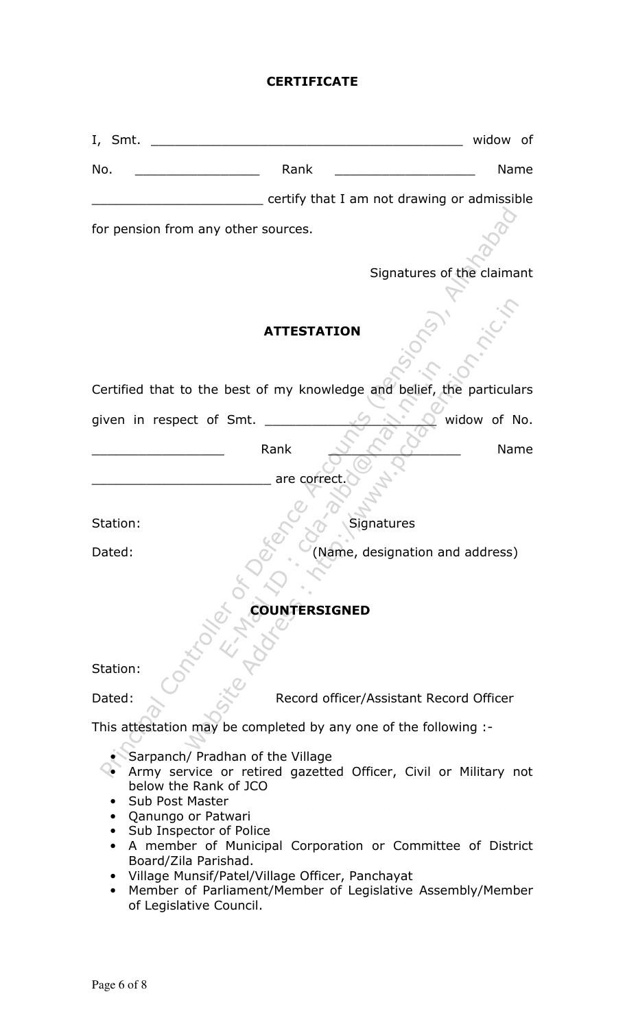#### **CERTIFICATE**

| I, Smt.                                                                                                                                                                                                                                      |                      | widow of                                                                                                                                                                                    |
|----------------------------------------------------------------------------------------------------------------------------------------------------------------------------------------------------------------------------------------------|----------------------|---------------------------------------------------------------------------------------------------------------------------------------------------------------------------------------------|
| No.                                                                                                                                                                                                                                          | Rank                 | Name                                                                                                                                                                                        |
|                                                                                                                                                                                                                                              |                      | certify that I am not drawing or admissible                                                                                                                                                 |
| for pension from any other sources.                                                                                                                                                                                                          |                      |                                                                                                                                                                                             |
|                                                                                                                                                                                                                                              |                      | Signatures of the claimant                                                                                                                                                                  |
|                                                                                                                                                                                                                                              | <b>ATTESTATION</b>   |                                                                                                                                                                                             |
| Certified that to the best of my knowledge and belief, the particulars                                                                                                                                                                       |                      |                                                                                                                                                                                             |
| given in respect of Smt.                                                                                                                                                                                                                     |                      | widow of No.                                                                                                                                                                                |
|                                                                                                                                                                                                                                              | Rank<br>are correct  | Name                                                                                                                                                                                        |
| Station:                                                                                                                                                                                                                                     |                      | Signatures                                                                                                                                                                                  |
| Dated:                                                                                                                                                                                                                                       |                      | (Name, designation and address)                                                                                                                                                             |
|                                                                                                                                                                                                                                              | <b>COUNTERSIGNED</b> |                                                                                                                                                                                             |
| Station:                                                                                                                                                                                                                                     |                      |                                                                                                                                                                                             |
| Dated:                                                                                                                                                                                                                                       |                      | Record officer/Assistant Record Officer                                                                                                                                                     |
| This attestation may be completed by any one of the following :-                                                                                                                                                                             |                      |                                                                                                                                                                                             |
| Sarpanch/ Pradhan of the Village<br>below the Rank of JCO<br><b>Sub Post Master</b><br>Qanungo or Patwari<br>• Sub Inspector of Police<br>Board/Zila Parishad.<br>Village Munsif/Patel/Village Officer, Panchayat<br>of Legislative Council. |                      | Army service or retired gazetted Officer, Civil or Military not<br>A member of Municipal Corporation or Committee of District<br>Member of Parliament/Member of Legislative Assembly/Member |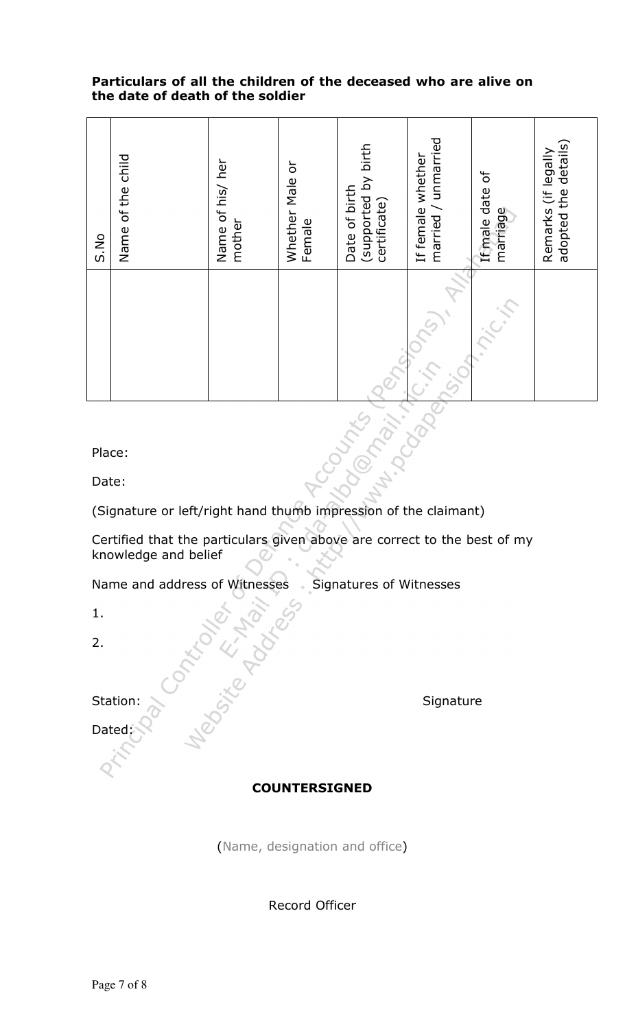#### Particulars of all the children of the deceased who are alive on the date of death of the soldier

| S.No                     | Name of the child | Name of his/ her<br>mother | Whether Male or<br>Female | (supported by birth<br>Date of birth<br>certificate) | married / unmarried<br>If female whether | If male date of<br>marriage | adopted the details)<br>Remarks (if legally |
|--------------------------|-------------------|----------------------------|---------------------------|------------------------------------------------------|------------------------------------------|-----------------------------|---------------------------------------------|
|                          |                   |                            |                           |                                                      |                                          |                             |                                             |
| CUMSC<br>mari.<br>Place: |                   |                            |                           |                                                      |                                          |                             |                                             |

Date:

(Signature or left/right hand thumb impression of the claimant)

Certified that the particulars given above are correct to the best of my knowledge and belief

Name and address of Witnesses Signatures of Witnesses Station: Signature

1.

2.

Dated:

# COUNTERSIGNED

(Name, designation and office)

Record Officer